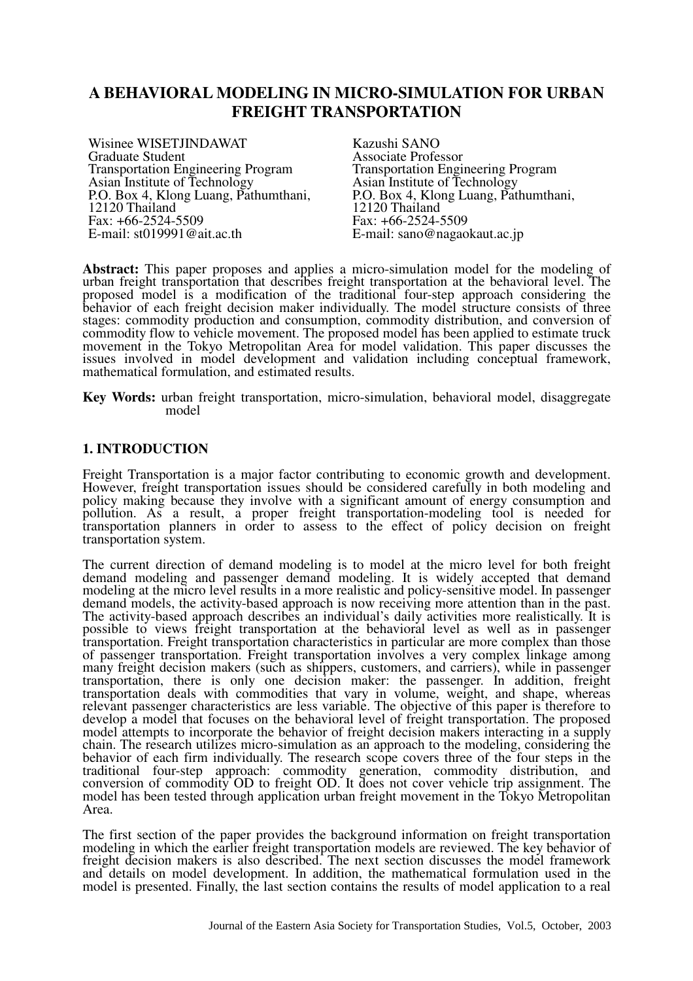# **A BEHAVIORAL MODELING IN MICRO-SIMULATION FOR URBAN FREIGHT TRANSPORTATION**

Wisinee WISETJINDAWAT Graduate Student Transportation Engineering Program Asian Institute of Technology P.O. Box 4, Klong Luang, Pathumthani, 12120 Thailand Fax: +66-2524-5509 E-mail: st019991@ait.ac.th

Kazushi SANO Associate Professor Transportation Engineering Program Asian Institute of Technology P.O. Box 4, Klong Luang, Pathumthani, 12120 Thailand Fax: +66-2524-5509 E-mail: sano@nagaokaut.ac.jp

**Abstract:** This paper proposes and applies a micro-simulation model for the modeling of urban freight transportation that describes freight transportation at the behavioral level. The proposed model is a modification of the traditional four-step approach considering the behavior of each freight decision maker individually. The model structure consists of three stages: commodity production and consumption, commodity distribution, and conversion of commodity flow to vehicle movement. The proposed model has been applied to estimate truck movement in the Tokyo Metropolitan Area for model validation. This paper discusses the issues involved in model development and validation including conceptual framework, mathematical formulation, and estimated results.

**Key Words:** urban freight transportation, micro-simulation, behavioral model, disaggregate model

### **1. INTRODUCTION**

Freight Transportation is a major factor contributing to economic growth and development. However, freight transportation issues should be considered carefully in both modeling and policy making because they involve with a significant amount of energy consumption and pollution. As a result, a proper freight transportation-modeling tool is needed for transportation planners in order to assess to the effect of policy decision on freight transportation system.

The current direction of demand modeling is to model at the micro level for both freight demand modeling and passenger demand modeling. It is widely accepted that demand modeling at the micro level results in a more realistic and policy-sensitive model. In passenger demand models, the activity-based approach is now receiving more attention than in the past. The activity-based approach describes an individual's daily activities more realistically. It is possible to views freight transportation at the behavioral level as well as in passenger transportation. Freight transportation characteristics in particular are more complex than those of passenger transportation. Freight transportation involves a very complex linkage among many freight decision makers (such as shippers, customers, and carriers), while in passenger transportation, there is only one decision maker: the passenger. In addition, freight transportation deals with commodities that vary in volume, weight, and shape, whereas relevant passenger characteristics are less variable. The objective of this paper is therefore to develop a model that focuses on the behavioral level of freight transportation. The proposed model attempts to incorporate the behavior of freight decision makers interacting in a supply chain. The research utilizes micro-simulation as an approach to the modeling, considering the behavior of each firm individually. The research scope covers three of the four steps in the traditional four-step approach: commodity generation, commodity distribution, and conversion of commodity OD to freight OD. It does not cover vehicle trip assignment. The model has been tested through application urban freight movement in the Tokyo Metropolitan Area.

The first section of the paper provides the background information on freight transportation modeling in which the earlier freight transportation models are reviewed. The key behavior of freight decision makers is also described. The next section discusses the model framework and details on model development. In addition, the mathematical formulation used in the model is presented. Finally, the last section contains the results of model application to a real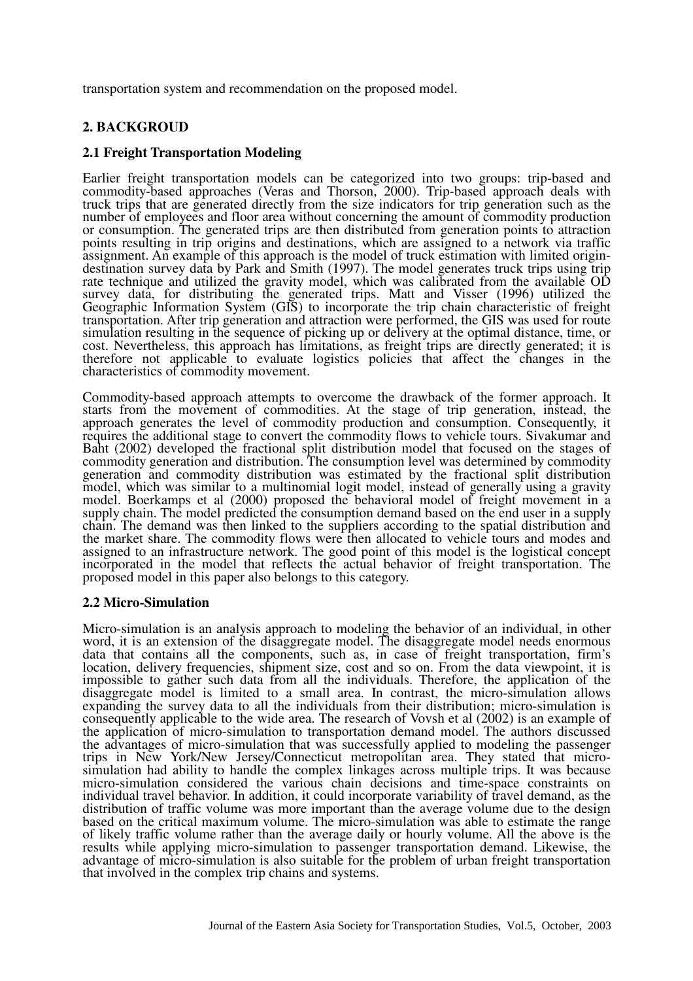transportation system and recommendation on the proposed model.

### **2. BACKGROUD**

### **2.1 Freight Transportation Modeling**

Earlier freight transportation models can be categorized into two groups: trip-based and commodity-based approaches (Veras and Thorson, 2000). Trip-based approach deals with truck trips that are generated directly from the size indicators for trip generation such as the number of employees and floor area without concerning the amount of commodity production or consumption. The generated trips are then distributed from generation points to attraction points resulting in trip origins and destinations, which are assigned to a network via traffic assignment. An example of this approach is the model of truck estimation with limited origindestination survey data by Park and Smith (1997). The model generates truck trips using trip rate technique and utilized the gravity model, which was calibrated from the available OD survey data, for distributing the generated trips. Matt and Visser (1996) utilized the Geographic Information System (GIS) to incorporate the trip chain characteristic of freight transportation. After trip generation and attraction were performed, the GIS was used for route simulation resulting in the sequence of picking up or delivery at the optimal distance, time, or cost. Nevertheless, this approach has limitations, as freight trips are directly generated; it is therefore not applicable to evaluate logistics policies that affect the changes in the characteristics of commodity movement.

Commodity-based approach attempts to overcome the drawback of the former approach. It starts from the movement of commodities. At the stage of trip generation, instead, the approach generates the level of commodity production and consumption. Consequently, it requires the additional stage to convert the commodity flows to vehicle tours. Sivakumar and Baht (2002) developed the fractional split distribution model that focused on the stages of commodity generation and distribution. The consumption level was determined by commodity generation and commodity distribution was estimated by the fractional split distribution model, which was similar to a multinomial logit model, instead of generally using a gravity model. Boerkamps et al (2000) proposed the behavioral model of freight movement in a supply chain. The model predicted the consumption demand based on the end user in a supply chain. The demand was then linked to the suppliers according to the spatial distribution and the market share. The commodity flows were then allocated to vehicle tours and modes and assigned to an infrastructure network. The good point of this model is the logistical concept incorporated in the model that reflects the actual behavior of freight transportation. The proposed model in this paper also belongs to this category.

#### **2.2 Micro-Simulation**

Micro-simulation is an analysis approach to modeling the behavior of an individual, in other word, it is an extension of the disaggregate model. The disaggregate model needs enormous data that contains all the components, such as, in case of freight transportation, firm's location, delivery frequencies, shipment size, cost and so on. From the data viewpoint, it is impossible to gather such data from all the individuals. Therefore, the application of the disaggregate model is limited to a small area. In contrast, the micro-simulation allows expanding the survey data to all the individuals from their distribution; micro-simulation is consequently applicable to the wide area. The research of Vovsh et al (2002) is an example of the application of micro-simulation to transportation demand model. The authors discussed the advantages of micro-simulation that was successfully applied to modeling the passenger trips in New York/New Jersey/Connecticut metropolitan area. They stated that microsimulation had ability to handle the complex linkages across multiple trips. It was because micro-simulation considered the various chain decisions and time-space constraints on individual travel behavior. In addition, it could incorporate variability of travel demand, as the distribution of traffic volume was more important than the average volume due to the design based on the critical maximum volume. The micro-simulation was able to estimate the range of likely traffic volume rather than the average daily or hourly volume. All the above is the results while applying micro-simulation to passenger transportation demand. Likewise, the advantage of micro-simulation is also suitable for the problem of urban freight transportation that involved in the complex trip chains and systems.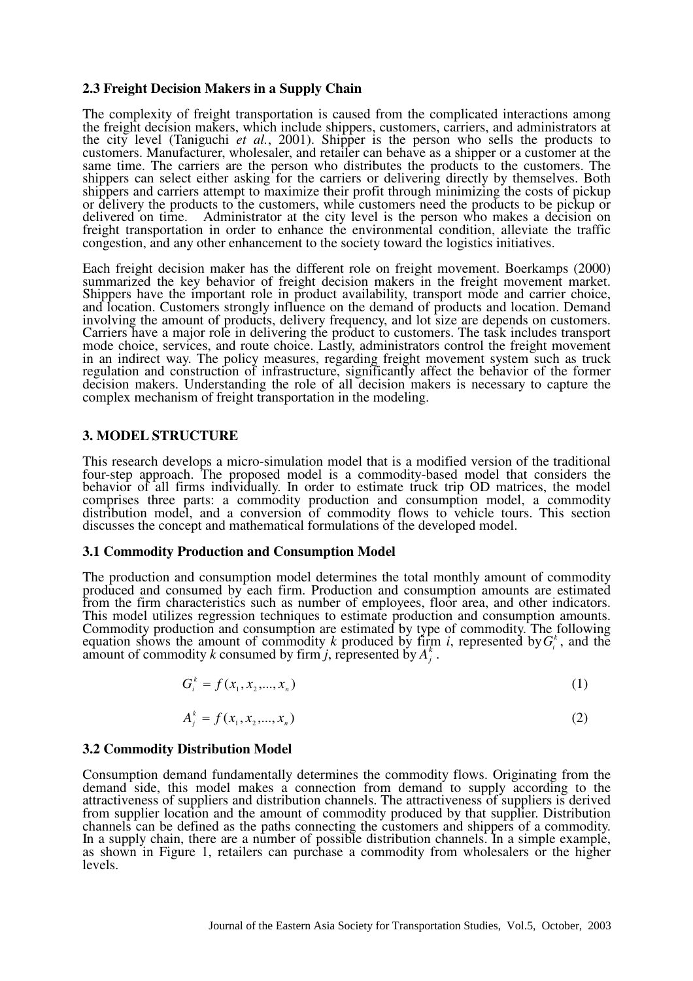# **2.3 Freight Decision Makers in a Supply Chain**

The complexity of freight transportation is caused from the complicated interactions among the freight decision makers, which include shippers, customers, carriers, and administrators at the city level (Taniguchi *et al.*, 2001). Shipper is the person who sells the products to customers. Manufacturer, wholesaler, and retailer can behave as a shipper or a customer at the same time. The carriers are the person who distributes the products to the customers. The shippers can select either asking for the carriers or delivering directly by themselves. Both shippers and carriers attempt to maximize their profit through minimizing the costs of pickup or delivery the products to the customers, while customers need the products to be pickup or delivered on time. Administrator at the city level is the person who makes a decision on freight transportation in order to enhance the environmental condition, alleviate the traffic congestion, and any other enhancement to the society toward the logistics initiatives.

Each freight decision maker has the different role on freight movement. Boerkamps (2000) summarized the key behavior of freight decision makers in the freight movement market. Shippers have the important role in product availability, transport mode and carrier choice, and location. Customers strongly influence on the demand of products and location. Demand involving the amount of products, delivery frequency, and lot size are depends on customers. Carriers have a major role in delivering the product to customers. The task includes transport mode choice, services, and route choice. Lastly, administrators control the freight movement in an indirect way. The policy measures, regarding freight movement system such as truck regulation and construction of infrastructure, significantly affect the behavior of the former decision makers. Understanding the role of all decision makers is necessary to capture the complex mechanism of freight transportation in the modeling.

# **3. MODEL STRUCTURE**

This research develops a micro-simulation model that is a modified version of the traditional four-step approach. The proposed model is a commodity-based model that considers the behavior of all firms individually. In order to estimate truck trip OD matrices, the model comprises three parts: a commodity production and consumption model, a commodity distribution model, and a conversion of commodity flows to vehicle tours. This section discusses the concept and mathematical formulations of the developed model.

# **3.1 Commodity Production and Consumption Model**

The production and consumption model determines the total monthly amount of commodity produced and consumed by each firm. Production and consumption amounts are estimated from the firm characteristics such as number of employees, floor area, and other indicators. This model utilizes regression techniques to estimate production and consumption amounts. Commodity production and consumption are estimated by type of commodity. The following equation shows the amount of commodity *k* produced by firm *i*, represented by  $G_i^k$ , and the amount of commodity *k* consumed by firm *j*, represented by  $A_j^k$ .

$$
G_i^k = f(x_1, x_2, \dots, x_n)
$$
 (1)

$$
A_j^k = f(x_1, x_2, \dots, x_n)
$$
 (2)

# **3.2 Commodity Distribution Model**

Consumption demand fundamentally determines the commodity flows. Originating from the demand side, this model makes a connection from demand to supply according to the attractiveness of suppliers and distribution channels. The attractiveness of suppliers is derived from supplier location and the amount of commodity produced by that supplier. Distribution channels can be defined as the paths connecting the customers and shippers of a commodity. In a supply chain, there are a number of possible distribution channels. In a simple example, as shown in Figure 1, retailers can purchase a commodity from wholesalers or the higher levels.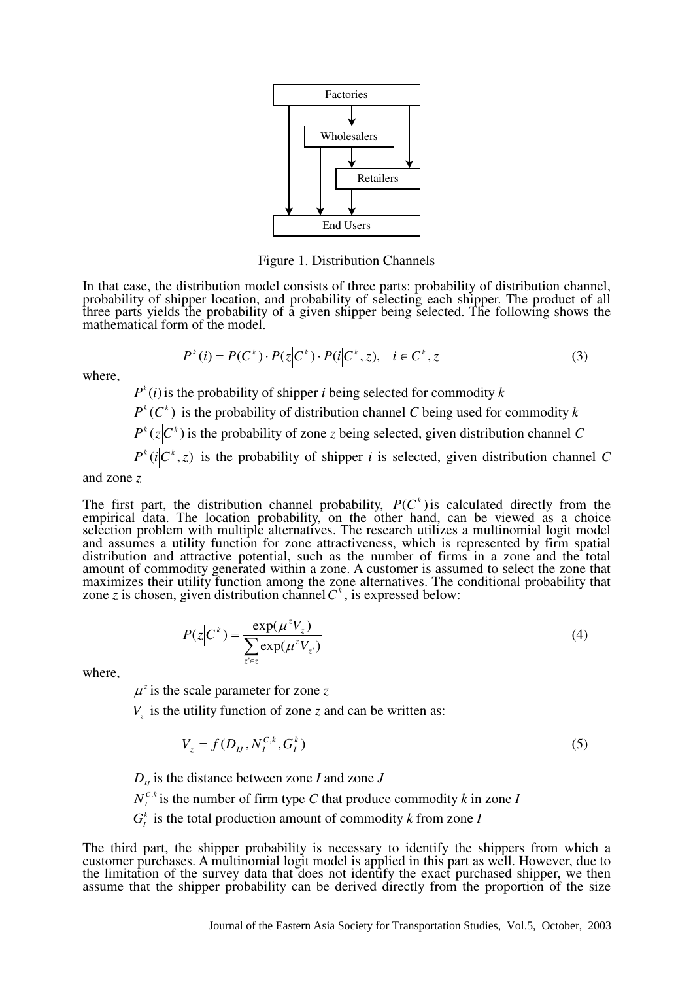

Figure 1. Distribution Channels

In that case, the distribution model consists of three parts: probability of distribution channel, probability of shipper location, and probability of selecting each shipper. The product of all three parts yields the probability of a given shipper being selected. The following shows the mathematical form of the model.

$$
P^{k}(i) = P(C^{k}) \cdot P(z|C^{k}) \cdot P(i|C^{k}, z), \quad i \in C^{k}, z
$$
 (3)

where,

 $P^{k}(i)$  is the probability of shipper *i* being selected for commodity *k* 

 $P^{k}(C^{k})$  is the probability of distribution channel *C* being used for commodity *k* 

 $P^{k}(z|C^{k})$  is the probability of zone *z* being selected, given distribution channel *C* 

 $P^{k}(i|C^{k}, z)$  is the probability of shipper *i* is selected, given distribution channel *C* 

and zone *z*

The first part, the distribution channel probability,  $P(C^k)$  is calculated directly from the empirical data. The location probability, on the other hand, can be viewed as a choice selection problem with multiple alternatives. The research utilizes a multinomial logit model and assumes a utility function for zone attractiveness, which is represented by firm spatial distribution and attractive potential, such as the number of firms in a zone and the total amount of commodity generated within a zone. A customer is assumed to select the zone that maximizes their utility function among the zone alternatives. The conditional probability that zone *z* is chosen, given distribution channel  $C^k$ , is expressed below:

$$
P(z|C^k) = \frac{\exp(\mu^z V_z)}{\sum_{z \in z} \exp(\mu^z V_{z'})}
$$
(4)

where,

 $\mu^z$  is the scale parameter for zone *z* 

 $V_z$  is the utility function of zone *z* and can be written as:

$$
V_z = f(D_{IJ}, N_I^{C,k}, G_I^k)
$$
\n
$$
\tag{5}
$$

 $D_{IJ}$  is the distance between zone *I* and zone *J* 

 $N_I^{C,k}$  is the number of firm type *C* that produce commodity *k* in zone *I* 

 $G_i^k$  is the total production amount of commodity *k* from zone *I* 

The third part, the shipper probability is necessary to identify the shippers from which a customer purchases. A multinomial logit model is applied in this part as well. However, due to the limitation of the survey data that does not identify the exact purchased shipper, we then assume that the shipper probability can be derived directly from the proportion of the size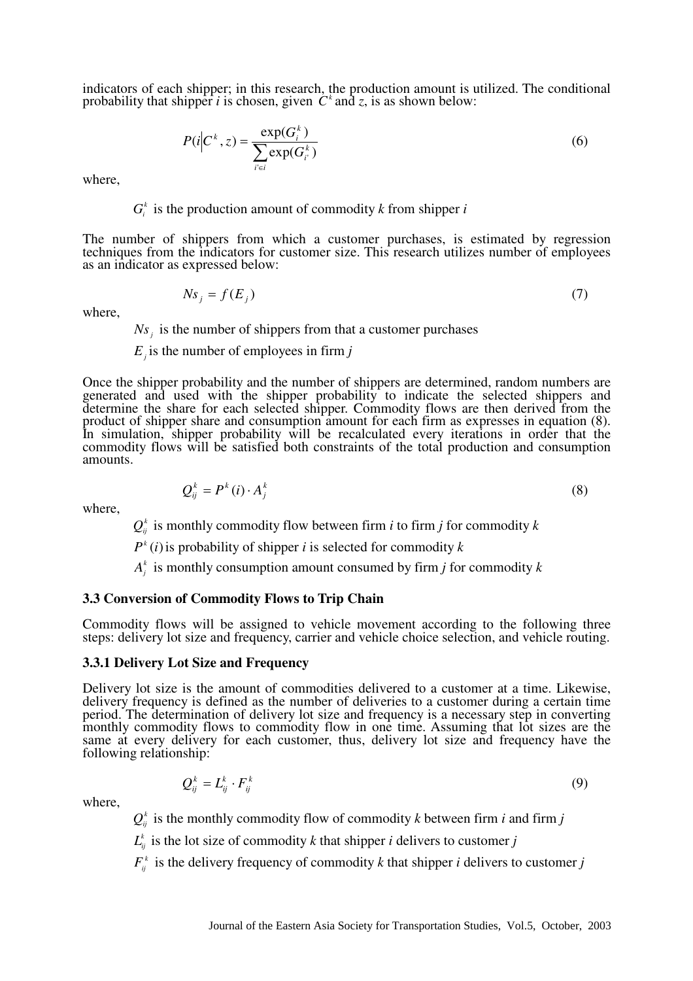indicators of each shipper; in this research, the production amount is utilized. The conditional probability that shipper *i* is chosen, given  $C^k$  and *z*, is as shown below:

$$
P(i|C^k, z) = \frac{\exp(G_i^k)}{\sum_{i \in i} \exp(G_i^k)}
$$
(6)

where,

# $G_i^k$  is the production amount of commodity *k* from shipper *i*

The number of shippers from which a customer purchases, is estimated by regression techniques from the indicators for customer size. This research utilizes number of employees as an indicator as expressed below:

$$
Ns_j = f(E_j) \tag{7}
$$

where,

 $Ns<sub>j</sub>$  is the number of shippers from that a customer purchases

*Ej* is the number of employees in firm *j*

Once the shipper probability and the number of shippers are determined, random numbers are generated and used with the shipper probability to indicate the selected shippers and determine the share for each selected shipper. Commodity flows are then derived from the product of shipper share and consumption amount for each firm as expresses in equation (8). In simulation, shipper probability will be recalculated every iterations in order that the commodity flows will be satisfied both constraints of the total production and consumption amounts.

$$
Q_{ij}^k = P^k(i) \cdot A_j^k \tag{8}
$$

where,

 $Q_{ij}^k$  is monthly commodity flow between firm *i* to firm *j* for commodity *k* 

 $P<sup>k</sup>(i)$  is probability of shipper *i* is selected for commodity *k* 

 $A_j^k$  is monthly consumption amount consumed by firm *j* for commodity *k* 

## **3.3 Conversion of Commodity Flows to Trip Chain**

Commodity flows will be assigned to vehicle movement according to the following three steps: delivery lot size and frequency, carrier and vehicle choice selection, and vehicle routing.

#### **3.3.1 Delivery Lot Size and Frequency**

Delivery lot size is the amount of commodities delivered to a customer at a time. Likewise, delivery frequency is defined as the number of deliveries to a customer during a certain time period. The determination of delivery lot size and frequency is a necessary step in converting monthly commodity flows to commodity flow in one time. Assuming that lot sizes are the same at every delivery for each customer, thus, delivery lot size and frequency have the following relationship:

$$
Q_{ij}^k = L_{ij}^k \cdot F_{ij}^k \tag{9}
$$

where,

 $Q_{ij}^k$  is the monthly commodity flow of commodity *k* between firm *i* and firm *j* 

 $L_{ij}^k$  is the lot size of commodity *k* that shipper *i* delivers to customer *j* 

 $F_{ij}^k$  is the delivery frequency of commodity *k* that shipper *i* delivers to customer *j*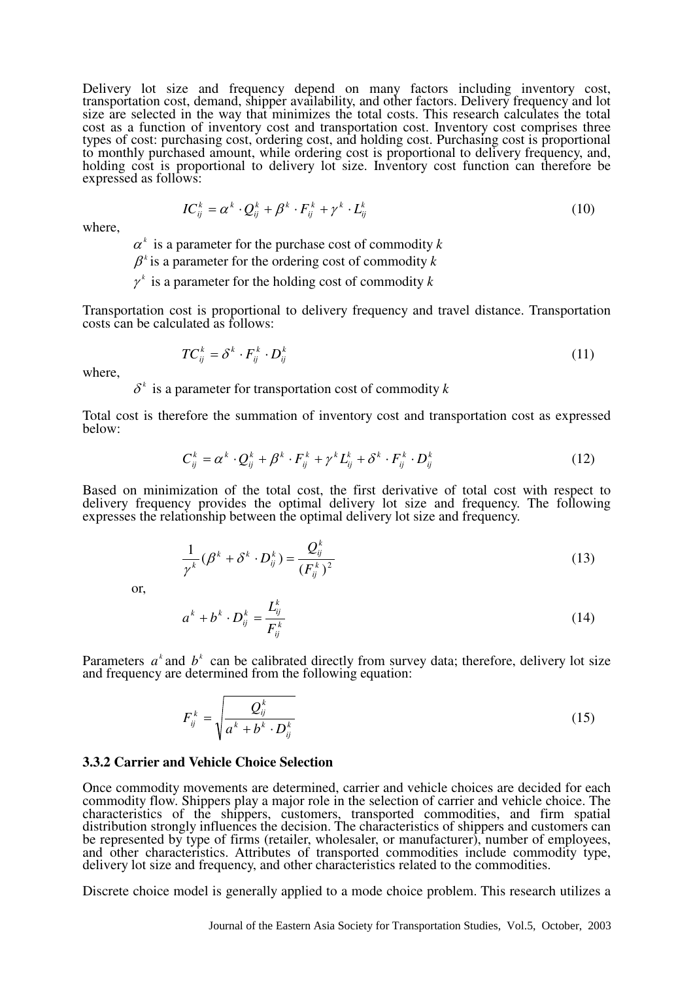Delivery lot size and frequency depend on many factors including inventory cost, transportation cost, demand, shipper availability, and other factors. Delivery frequency and lot size are selected in the way that minimizes the total costs. This research calculates the total cost as a function of inventory cost and transportation cost. Inventory cost comprises three types of cost: purchasing cost, ordering cost, and holding cost. Purchasing cost is proportional to monthly purchased amount, while ordering cost is proportional to delivery frequency, and, holding cost is proportional to delivery lot size. Inventory cost function can therefore be expressed as follows:

$$
IC_{ij}^k = \alpha^k \cdot Q_{ij}^k + \beta^k \cdot F_{ij}^k + \gamma^k \cdot L_{ij}^k
$$
 (10)

where,

 $\alpha^k$  is a parameter for the purchase cost of commodity *k* 

 $\beta^k$  is a parameter for the ordering cost of commodity *k* 

 $\gamma^k$  is a parameter for the holding cost of commodity *k* 

Transportation cost is proportional to delivery frequency and travel distance. Transportation costs can be calculated as follows:

$$
TC_{ij}^k = \delta^k \cdot F_{ij}^k \cdot D_{ij}^k \tag{11}
$$

where,

 $\delta^k$  is a parameter for transportation cost of commodity *k* 

Total cost is therefore the summation of inventory cost and transportation cost as expressed below:

$$
C_{ij}^k = \alpha^k \cdot Q_{ij}^k + \beta^k \cdot F_{ij}^k + \gamma^k L_{ij}^k + \delta^k \cdot F_{ij}^k \cdot D_{ij}^k
$$
 (12)

Based on minimization of the total cost, the first derivative of total cost with respect to delivery frequency provides the optimal delivery lot size and frequency. The following expresses the relationship between the optimal delivery lot size and frequency.

$$
\frac{1}{\gamma^k}(\beta^k + \delta^k \cdot D_{ij}^k) = \frac{Q_{ij}^k}{\left(F_{ij}^k\right)^2} \tag{13}
$$

or,

$$
a^k + b^k \cdot D_{ij}^k = \frac{L_{ij}^k}{F_{ij}^k} \tag{14}
$$

Parameters  $a^k$  and  $b^k$  can be calibrated directly from survey data; therefore, delivery lot size and frequency are determined from the following equation:

$$
F_{ij}^k = \sqrt{\frac{Q_{ij}^k}{a^k + b^k \cdot D_{ij}^k}}
$$
 (15)

## **3.3.2 Carrier and Vehicle Choice Selection**

Once commodity movements are determined, carrier and vehicle choices are decided for each commodity flow. Shippers play a major role in the selection of carrier and vehicle choice. The characteristics of the shippers, customers, transported commodities, and firm spatial distribution strongly influences the decision. The characteristics of shippers and customers can be represented by type of firms (retailer, wholesaler, or manufacturer), number of employees, and other characteristics. Attributes of transported commodities include commodity type, delivery lot size and frequency, and other characteristics related to the commodities.

Discrete choice model is generally applied to a mode choice problem. This research utilizes a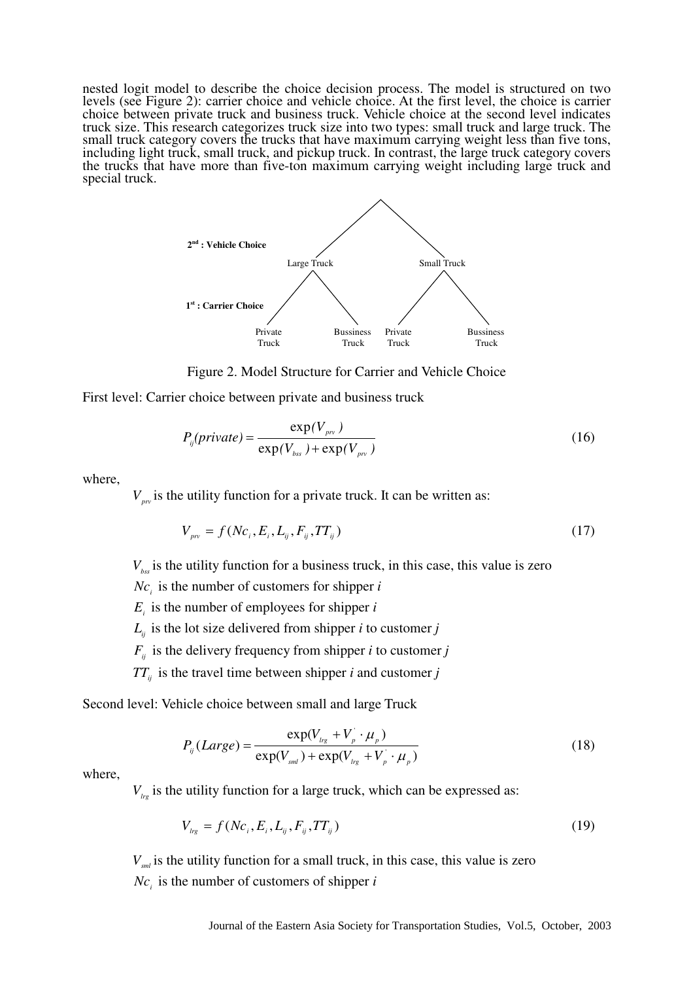nested logit model to describe the choice decision process. The model is structured on two levels (see Figure 2): carrier choice and vehicle choice. At the first level, the choice is carrier choice between private truck and business truck. Vehicle choice at the second level indicates truck size. This research categorizes truck size into two types: small truck and large truck. The small truck category covers the trucks that have maximum carrying weight less than five tons, including light truck, small truck, and pickup truck. In contrast, the large truck category covers the trucks that have more than five-ton maximum carrying weight including large truck and special truck.



Figure 2. Model Structure for Carrier and Vehicle Choice

First level: Carrier choice between private and business truck

$$
P_{ij}(private) = \frac{\exp(V_{\scriptscriptstyle{pv}})}{\exp(V_{\scriptscriptstyle{bss}}) + \exp(V_{\scriptscriptstyle{pv}})}
$$
\n(16)

where,

 $V_{pr}$  is the utility function for a private truck. It can be written as:

$$
V_{\nu} = f(Nc_i, E_i, L_{ij}, F_{ij}, TT_{ij})
$$
\n(17)

*Vbss* is the utility function for a business truck, in this case, this value is zero

 $Nc_i$  is the number of customers for shipper *i* 

 $E_i$  is the number of employees for shipper *i* 

- $L_{ij}$  is the lot size delivered from shipper *i* to customer *j*
- $F_{ij}$  is the delivery frequency from shipper *i* to customer *j*
- $TT_{ij}$  is the travel time between shipper *i* and customer *j*

Second level: Vehicle choice between small and large Truck

$$
P_{ij}(Large) = \frac{\exp(V_{lrg} + V_p^{'} \cdot \mu_p)}{\exp(V_{sml}) + \exp(V_{lrg} + V_p^{'} \cdot \mu_p)}
$$
(18)

where,

 $V_{lrg}$  is the utility function for a large truck, which can be expressed as:

$$
V_{lrg} = f(Nc_i, E_i, L_{ij}, F_{ij}, TT_{ij})
$$
\n(19)

*Vsml* is the utility function for a small truck, in this case, this value is zero  $Nc_i$  is the number of customers of shipper *i*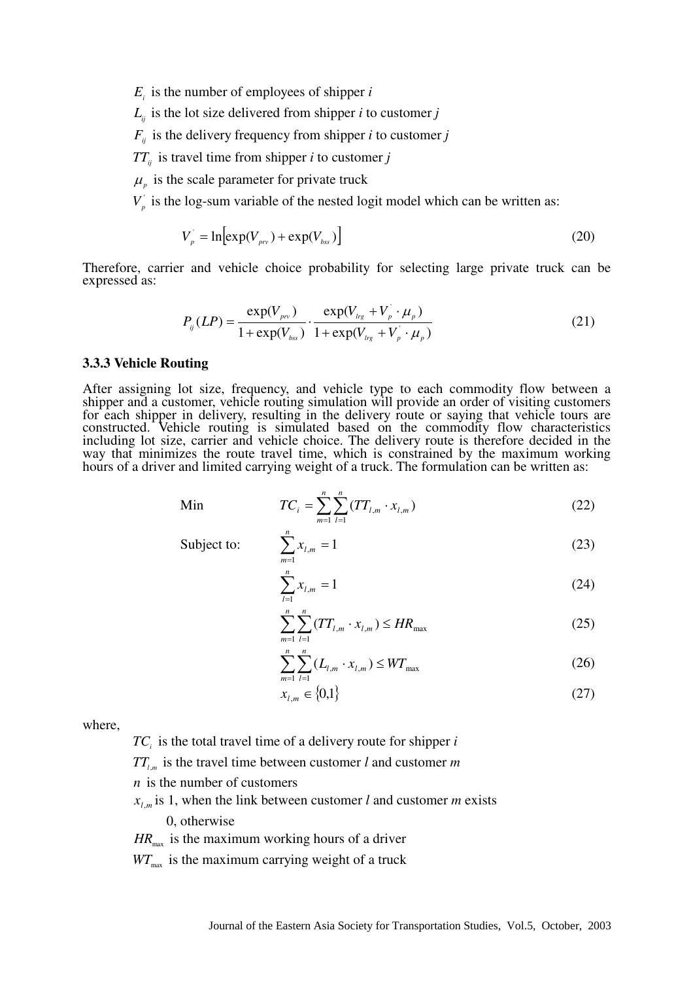$E_i$  is the number of employees of shipper *i* 

 $L_{ij}$  is the lot size delivered from shipper *i* to customer *j* 

 $F_{ij}$  is the delivery frequency from shipper *i* to customer *j* 

*TTij* is travel time from shipper *i* to customer *j*

 $\mu$ <sub>*p*</sub> is the scale parameter for private truck

 $V_p$  is the log-sum variable of the nested logit model which can be written as:

$$
V_p = \ln \left[ \exp(V_{\scriptscriptstyle{pv}}) + \exp(V_{\scriptscriptstyle{bss}}) \right] \tag{20}
$$

Therefore, carrier and vehicle choice probability for selecting large private truck can be expressed as:

$$
P_{ij}(LP) = \frac{\exp(V_{prv})}{1 + \exp(V_{bs})} \cdot \frac{\exp(V_{lrg} + V_p \cdot \mu_p)}{1 + \exp(V_{lrg} + V_p \cdot \mu_p)}
$$
(21)

#### **3.3.3 Vehicle Routing**

After assigning lot size, frequency, and vehicle type to each commodity flow between a shipper and a customer, vehicle routing simulation will provide an order of visiting customers for each shipper in delivery, resulting in the delivery route or saying that vehicle tours are constructed. Vehicle routing is simulated based on the commodity flow characteristics including lot size, carrier and vehicle choice. The delivery route is therefore decided in the way that minimizes the route travel time, which is constrained by the maximum working hours of a driver and limited carrying weight of a truck. The formulation can be written as:

Min 
$$
TC_i = \sum_{m=1}^{n} \sum_{l=1}^{n} (TT_{l,m} \cdot x_{l,m})
$$
 (22)

Subject to:  $\sum x_{l,m} = 1$ 

$$
\sum_{m=1}^{n} x_{l,m} = 1
$$
\n(23)\n
$$
\sum_{l=1}^{n} x_{l,m} = 1
$$
\n(24)

$$
\sum_{m=1}^{n} \sum_{l=1}^{n} (TT_{l,m} \cdot x_{l,m}) \le HR_{\max}
$$
 (25)

$$
\sum_{m=1}^{n} \sum_{l=1}^{n} (L_{l,m} \cdot x_{l,m}) \leq WT_{\text{max}}
$$
 (26)

$$
x_{l,m} \in \{0,1\} \tag{27}
$$

where,

*TC<sup>i</sup>* is the total travel time of a delivery route for shipper *i*

*n*

*m*

1

*l*

 $TT_{l,m}$  is the travel time between customer *l* and customer *m* 

*n* is the number of customers

 $x_{l,m}$  is 1, when the link between customer *l* and customer *m* exists 0, otherwise

 $HR_{\text{max}}$  is the maximum working hours of a driver

 $WT_{\text{max}}$  is the maximum carrying weight of a truck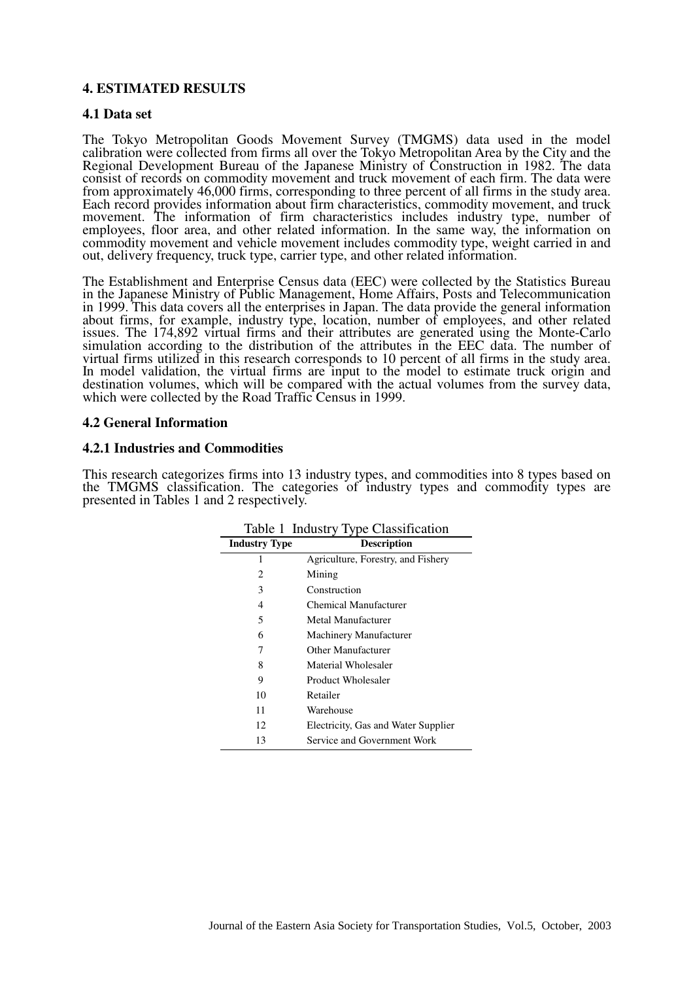# **4. ESTIMATED RESULTS**

### **4.1 Data set**

The Tokyo Metropolitan Goods Movement Survey (TMGMS) data used in the model calibration were collected from firms all over the Tokyo Metropolitan Area by the City and the Regional Development Bureau of the Japanese Ministry of Construction in 1982. The data consist of records on commodity movement and truck movement of each firm. The data were from approximately 46,000 firms, corresponding to three percent of all firms in the study area. Each record provides information about firm characteristics, commodity movement, and truck movement. The information of firm characteristics includes industry type, number of employees, floor area, and other related information. In the same way, the information on commodity movement and vehicle movement includes commodity type, weight carried in and out, delivery frequency, truck type, carrier type, and other related information.

The Establishment and Enterprise Census data (EEC) were collected by the Statistics Bureau in the Japanese Ministry of Public Management, Home Affairs, Posts and Telecommunication in 1999. This data covers all the enterprises in Japan. The data provide the general information about firms, for example, industry type, location, number of employees, and other related issues. The 174,892 virtual firms and their attributes are generated using the Monte-Carlo simulation according to the distribution of the attributes in the EEC data. The number of virtual firms utilized in this research corresponds to 10 percent of all firms in the study area. In model validation, the virtual firms are input to the model to estimate truck origin and destination volumes, which will be compared with the actual volumes from the survey data, which were collected by the Road Traffic Census in 1999.

# **4.2 General Information**

### **4.2.1 Industries and Commodities**

This research categorizes firms into 13 industry types, and commodities into 8 types based on the TMGMS classification. The categories of industry types and commodity types are presented in Tables 1 and 2 respectively.

|                      | Table 1 Industry Type Classification |  |  |  |  |  |  |  |  |
|----------------------|--------------------------------------|--|--|--|--|--|--|--|--|
| <b>Industry Type</b> | <b>Description</b>                   |  |  |  |  |  |  |  |  |
| 1                    | Agriculture, Forestry, and Fishery   |  |  |  |  |  |  |  |  |
| 2.                   | Mining                               |  |  |  |  |  |  |  |  |
| 3                    | Construction                         |  |  |  |  |  |  |  |  |
| 4                    | <b>Chemical Manufacturer</b>         |  |  |  |  |  |  |  |  |
| 5                    | Metal Manufacturer                   |  |  |  |  |  |  |  |  |
| 6                    | Machinery Manufacturer               |  |  |  |  |  |  |  |  |
| 7                    | Other Manufacturer                   |  |  |  |  |  |  |  |  |
| 8                    | Material Wholesaler                  |  |  |  |  |  |  |  |  |
| 9                    | Product Wholesaler                   |  |  |  |  |  |  |  |  |
| 10                   | Retailer                             |  |  |  |  |  |  |  |  |
| 11                   | Warehouse                            |  |  |  |  |  |  |  |  |
| 12                   | Electricity, Gas and Water Supplier  |  |  |  |  |  |  |  |  |
| 13                   | Service and Government Work          |  |  |  |  |  |  |  |  |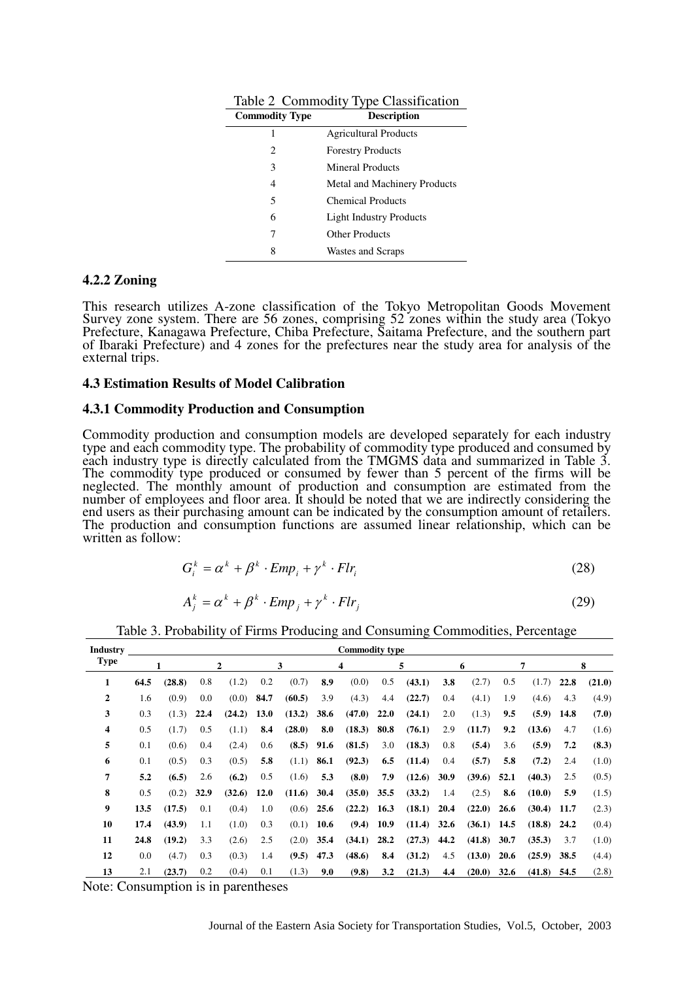| <b>Commodity Type</b> | <b>Description</b>             |
|-----------------------|--------------------------------|
| 1                     | <b>Agricultural Products</b>   |
| 2                     | <b>Forestry Products</b>       |
| 3                     | Mineral Products               |
| 4                     | Metal and Machinery Products   |
| 5                     | <b>Chemical Products</b>       |
| 6                     | <b>Light Industry Products</b> |
| 7                     | <b>Other Products</b>          |
| 8                     | Wastes and Scraps              |

Table 2 Commodity Type Classification

#### **4.2.2 Zoning**

This research utilizes A-zone classification of the Tokyo Metropolitan Goods Movement Survey zone system. There are 56 zones, comprising 52 zones within the study area (Tokyo Prefecture, Kanagawa Prefecture, Chiba Prefecture, Saitama Prefecture, and the southern part of Ibaraki Prefecture) and 4 zones for the prefectures near the study area for analysis of the external trips.

#### **4.3 Estimation Results of Model Calibration**

#### **4.3.1 Commodity Production and Consumption**

Commodity production and consumption models are developed separately for each industry type and each commodity type. The probability of commodity type produced and consumed by each industry type is directly calculated from the TMGMS data and summarized in Table 3. The commodity type produced or consumed by fewer than 5 percent of the firms will be neglected. The monthly amount of production and consumption are estimated from the number of employees and floor area. It should be noted that we are indirectly considering the end users as their purchasing amount can be indicated by the consumption amount of retailers. The production and consumption functions are assumed linear relationship, which can be written as follow:

$$
G_i^k = \alpha^k + \beta^k \cdot Emp_i + \gamma^k \cdot Flr_i \tag{28}
$$

$$
A_j^k = \alpha^k + \beta^k \cdot Emp_j + \gamma^k \cdot Flr_j \tag{29}
$$

| Industry<br><b>Type</b> |      | <b>Commodity type</b> |      |                |             |        |      |               |      |               |      |               |              |               |      |        |
|-------------------------|------|-----------------------|------|----------------|-------------|--------|------|---------------|------|---------------|------|---------------|--------------|---------------|------|--------|
|                         |      |                       |      | $\overline{2}$ |             | 3      |      | 4             | 5    |               |      | 6             | 7            |               | 8    |        |
| 1                       | 64.5 | (28.8)                | 0.8  | (1.2)          | 0.2         | (0.7)  | 8.9  | (0.0)         | 0.5  | (43.1)        | 3.8  | (2.7)         | 0.5          | (1.7)         | 22.8 | (21.0) |
| $\overline{2}$          | 1.6  | (0.9)                 | 0.0  | (0.0)          | 84.7        | (60.5) | 3.9  | (4.3)         | 4.4  | (22.7)        | 0.4  | (4.1)         | 1.9          | (4.6)         | 4.3  | (4.9)  |
| 3                       | 0.3  | (1.3)                 | 22.4 | (24.2)         | <b>13.0</b> | (13.2) | 38.6 | (47.0)        | 22.0 | (24.1)        | 2.0  | (1.3)         | 9.5          | (5.9)         | 14.8 | (7.0)  |
| 4                       | 0.5  | (1.7)                 | 0.5  | (1.1)          | 8.4         | (28.0) | 8.0  | (18.3)        | 80.8 | (76.1)        | 2.9  | (11.7)        | 9.2          | (13.6)        | 4.7  | (1.6)  |
| 5                       | 0.1  | (0.6)                 | 0.4  | (2.4)          | 0.6         | (8.5)  | 91.6 | (81.5)        | 3.0  | (18.3)        | 0.8  | (5.4)         | (5.9)<br>3.6 |               | 7.2  | (8.3)  |
| 6                       | 0.1  | (0.5)                 | 0.3  | (0.5)          | 5.8         | (1.1)  | 86.1 | (92.3)        | 6.5  | (11.4)        | 0.4  | (5.7)         | 5.8          | (7.2)         | 2.4  | (1.0)  |
| 7                       | 5.2  | (6.5)                 | 2.6  | (6.2)          | 0.5         | (1.6)  | 5.3  | (8.0)         | 7.9  | (12.6)        | 30.9 | (39.6)        | 52.1         | (40.3)        | 2.5  | (0.5)  |
| 8                       | 0.5  | (0.2)                 | 32.9 | (32.6)         | 12.0        | (11.6) | 30.4 | $(35.0)$ 35.5 |      | (33.2)        | 1.4  | (2.5)         | 8.6          | (10.0)        | 5.9  | (1.5)  |
| $\boldsymbol{9}$        | 13.5 | (17.5)                | 0.1  | (0.4)          | 1.0         | (0.6)  | 25.6 | $(22.2)$ 16.3 |      | (18.1)        | 20.4 | (22.0)        | 26.6         | (30.4)        | 11.7 | (2.3)  |
| 10                      | 17.4 | (43.9)                | 1.1  | (1.0)          | 0.3         | (0.1)  | 10.6 | $(9.4)$ 10.9  |      | $(11.4)$ 32.6 |      | $(36.1)$ 14.5 |              | $(18.8)$ 24.2 |      | (0.4)  |
| 11                      | 24.8 | (19.2)                | 3.3  | (2.6)          | 2.5         | (2.0)  | 35.4 | (34.1)        | 28.2 | (27.3)        | 44.2 | (41.8)        | 30.7         | (35.3)        | 3.7  | (1.0)  |
| 12                      | 0.0  | (4.7)                 | 0.3  | (0.3)          | 1.4         | (9.5)  | 47.3 | (48.6)        | 8.4  | (31.2)        | 4.5  | (13.0)        | 20.6         | (25.9)        | 38.5 | (4.4)  |
| 13                      | 2.1  | (23.7)                | 0.2  | (0.4)          | 0.1         | (1.3)  | 9.0  | (9.8)         | 3.2  | (21.3)        | 4.4  | (20.0)        | 32.6         | (41.8)        | 54.5 | (2.8)  |

Table 3. Probability of Firms Producing and Consuming Commodities, Percentage

Note: Consumption is in parentheses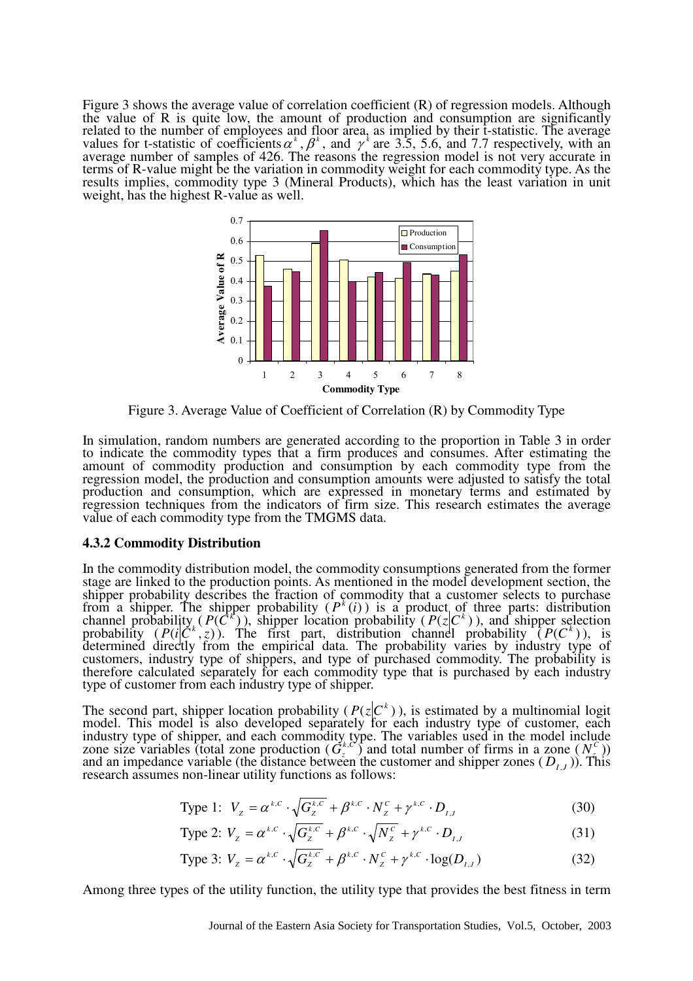Figure 3 shows the average value of correlation coefficient (R) of regression models. Although the value of  $R$  is quite low, the amount of production and consumption are significantly related to the number of employees and floor area, as implied by their t-statistic. The average values for t-statistic of coefficients  $\alpha^k$ ,  $\beta^k$ , and  $\gamma^k$  are 3.5, 5.6, and 7.7 respectively, with an average number of samples of 426. The reasons the regression model is not very accurate in terms of R-value might be the variation in commodity weight for each commodity type. As the results implies, commodity type 3 (Mineral Products), which has the least variation in unit weight, has the highest R-value as well.



Figure 3. Average Value of Coefficient of Correlation (R) by Commodity Type

In simulation, random numbers are generated according to the proportion in Table 3 in order to indicate the commodity types that a firm produces and consumes. After estimating the amount of commodity production and consumption by each commodity type from the regression model, the production and consumption amounts were adjusted to satisfy the total production and consumption, which are expressed in monetary terms and estimated by regression techniques from the indicators of firm size. This research estimates the average value of each commodity type from the TMGMS data.

#### **4.3.2 Commodity Distribution**

In the commodity distribution model, the commodity consumptions generated from the former stage are linked to the production points. As mentioned in the model development section, the shipper probability describes the fraction of commodity that a customer selects to purchase from a shipper. The shipper probability  $(P<sup>k</sup>(i))$  is a product of three parts: distribution channel probability ( $P(\vec{C}^k)$ ), shipper location probability ( $P(z|C^k)$ ), and shipper selection probability  $(P(i|C^k, z))$ . The first part, distribution channel probability  $(P(C^k))$ , is determined directly from the empirical data. The probability varies by industry type of customers, industry type of shippers, and type of purchased commodity. The probability is therefore calculated separately for each commodity type that is purchased by each industry type of customer from each industry type of shipper.

The second part, shipper location probability ( $P(z|C^k)$ ), is estimated by a multinomial logit model. This model is also developed separately for each industry type of customer, each industry type of shipper, and each commodity type. The variables used in the model include zone size variables (total zone production  $(G_{\zeta}^{k,C})$  and total number of firms in a zone  $(N_{\zeta}^{C})$ ) and an impedance variable (the distance between the customer and shipper zones  $(D_{I,J})$ ). This research assumes non-linear utility functions as follows:

Type 1: 
$$
V_z = \alpha^{k,C} \cdot \sqrt{G_z^{k,C}} + \beta^{k,C} \cdot N_z^C + \gamma^{k,C} \cdot D_{I,J}
$$
 (30)

Type 2: 
$$
V_z = \alpha^{k,C} \cdot \sqrt{G_z^{k,C}} + \beta^{k,C} \cdot \sqrt{N_z^C} + \gamma^{k,C} \cdot D_{I,J}
$$
 (31)

Type 3: 
$$
V_z = \alpha^{k,C} \cdot \sqrt{G_z^{k,C}} + \beta^{k,C} \cdot N_z^C + \gamma^{k,C} \cdot \log(D_{I,J})
$$
 (32)

Among three types of the utility function, the utility type that provides the best fitness in term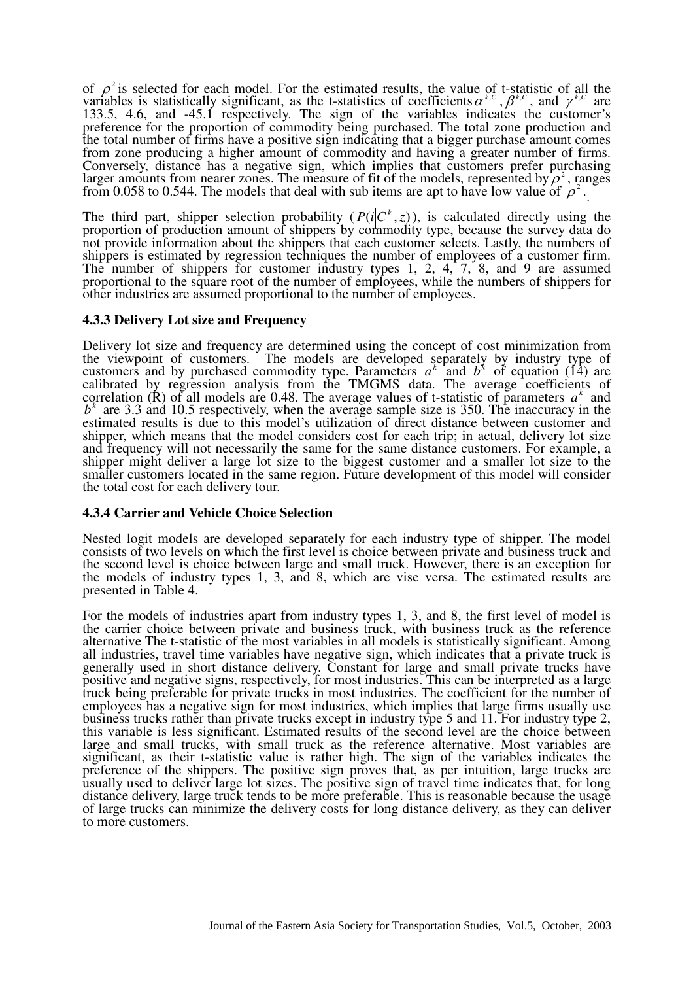of  $\rho^2$  is selected for each model. For the estimated results, the value of t-statistic of all the variables is statistically significant, as the t-statistics of coefficients  $\alpha^{k,c}$ ,  $\beta^{k,c}$ , and  $\gamma^{k,c}$  are 133.5, 4.6, and -45.1 respectively. The sign of the variables indicates the customer's preference for the proportion of commodity being purchased. The total zone production and the total number of firms have a positive sign indicating that a bigger purchase amount comes from zone producing a higher amount of commodity and having a greater number of firms. Conversely, distance has a negative sign, which implies that customers prefer purchasing larger amounts from nearer zones. The measure of fit of the models, represented by  $\rho^2$ , ranges from 0.058 to 0.544. The models that deal with sub items are apt to have low value of  $\rho^2$ .

The third part, shipper selection probability  $(P(i|C^k, z))$ , is calculated directly using the proportion of production amount of shippers by commodity type, because the survey data do not provide information about the shippers that each customer selects. Lastly, the numbers of shippers is estimated by regression techniques the number of employees of a customer firm. The number of shippers for customer industry types 1, 2, 4, 7, 8, and 9 are assumed proportional to the square root of the number of employees, while the numbers of shippers for other industries are assumed proportional to the number of employees.

### **4.3.3 Delivery Lot size and Frequency**

Delivery lot size and frequency are determined using the concept of cost minimization from the viewpoint of customers. The models are developed separately by industry type of customers and by purchased commodity type. Parameters  $a^k$  and  $b^k$  of equation (14) are calibrated by regression analysis from the TMGMS data. The average coefficients of correlation  $(\mathbf{R})$  of all models are 0.48. The average values of t-statistic of parameters  $a^k$  and  $b<sup>k</sup>$  are 3.3 and 10.5 respectively, when the average sample size is 350. The inaccuracy in the estimated results is due to this model's utilization of direct distance between customer and shipper, which means that the model considers cost for each trip; in actual, delivery lot size and frequency will not necessarily the same for the same distance customers. For example, a shipper might deliver a large lot size to the biggest customer and a smaller lot size to the smaller customers located in the same region. Future development of this model will consider the total cost for each delivery tour.

### **4.3.4 Carrier and Vehicle Choice Selection**

Nested logit models are developed separately for each industry type of shipper. The model consists of two levels on which the first level is choice between private and business truck and the second level is choice between large and small truck. However, there is an exception for the models of industry types 1, 3, and 8, which are vise versa. The estimated results are presented in Table 4.

For the models of industries apart from industry types 1, 3, and 8, the first level of model is the carrier choice between private and business truck, with business truck as the reference alternative The t-statistic of the most variables in all models is statistically significant. Among all industries, travel time variables have negative sign, which indicates that a private truck is generally used in short distance delivery. Constant for large and small private trucks have positive and negative signs, respectively, for most industries. This can be interpreted as a large truck being preferable for private trucks in most industries. The coefficient for the number of employees has a negative sign for most industries, which implies that large firms usually use business trucks rather than private trucks except in industry type 5 and 11. For industry type 2, this variable is less significant. Estimated results of the second level are the choice between large and small trucks, with small truck as the reference alternative. Most variables are significant, as their t-statistic value is rather high. The sign of the variables indicates the preference of the shippers. The positive sign proves that, as per intuition, large trucks are usually used to deliver large lot sizes. The positive sign of travel time indicates that, for long distance delivery, large truck tends to be more preferable. This is reasonable because the usage of large trucks can minimize the delivery costs for long distance delivery, as they can deliver to more customers.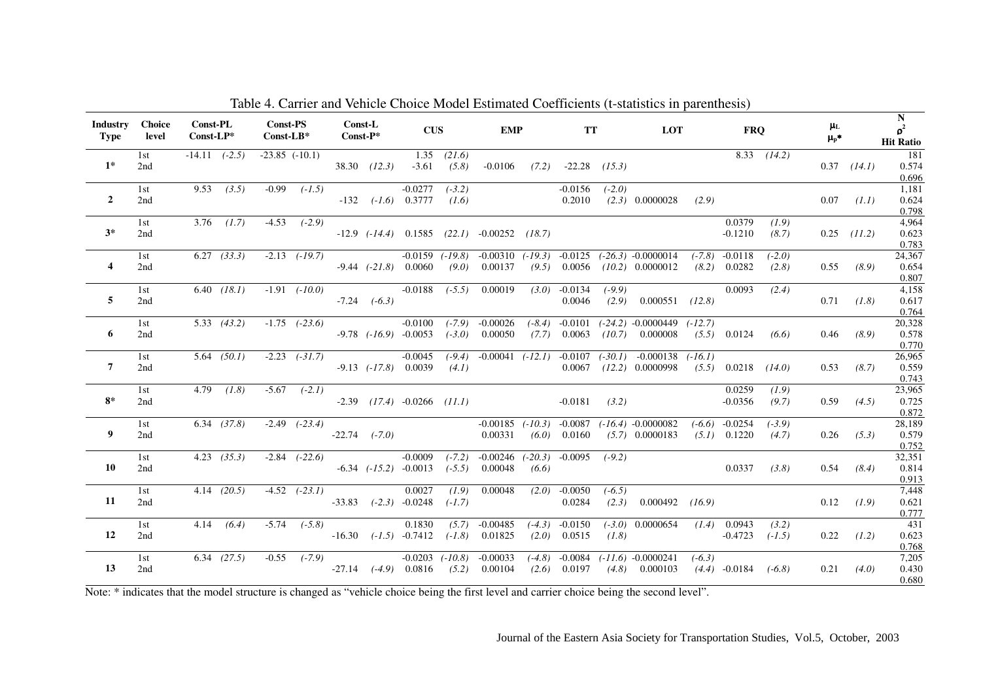| <b>Industry</b><br>Type | <b>Choice</b><br>level | <b>Const-PL</b><br>$Const$ -LP* |                   | <b>Const-PS</b><br>$Const-LB*$ |                    | <b>Const-L</b><br>$Const-P*$ |                  | <b>CUS</b>                                                       |                      | <b>EMP</b>                                              |           |                             |          | $\frac{\mu_L}{\mu_P^*}$<br>TT LOT FRQ                                                                                        |  |                                        |                   |      |                 | $\mathbf N$<br>$\rho^2$<br><b>Hit Ratio</b> |
|-------------------------|------------------------|---------------------------------|-------------------|--------------------------------|--------------------|------------------------------|------------------|------------------------------------------------------------------|----------------------|---------------------------------------------------------|-----------|-----------------------------|----------|------------------------------------------------------------------------------------------------------------------------------|--|----------------------------------------|-------------------|------|-----------------|---------------------------------------------|
| $1^*$                   | 1st<br>2nd             |                                 | $-14.11$ $(-2.5)$ |                                | $-23.85$ $(-10.1)$ |                              | $38.30$ $(12.3)$ |                                                                  | $1.35$ $(21.6)$      | $-3.61$ $(5.8)$ $-0.0106$ $(7.2)$ $-22.28$ $(15.3)$     |           |                             |          |                                                                                                                              |  |                                        | $8.33$ $(14.2)$   |      | $0.37$ $(14.1)$ | 181<br>0.574<br>0.696                       |
| $\overline{2}$          | 1st<br>2nd             |                                 | $9.53$ (3.5)      |                                | $-0.99$ $(-1.5)$   |                              |                  | $-0.0277$ $(-3.2)$<br>$-132$ $(-1.6)$ 0.3777 $(1.6)$             |                      |                                                         |           | $-0.0156$<br>0.2010         | $(-2.0)$ | $(2.3)$ 0.0000028 $(2.9)$                                                                                                    |  |                                        |                   |      | $0.07$ $(1.1)$  | 1,181<br>0.624<br>0.798                     |
| $3*$                    | 1st<br>2nd             |                                 | $3.76$ $(1.7)$    |                                | $-4.53$ $(-2.9)$   |                              |                  |                                                                  |                      | $-12.9$ $(-14.4)$ $0.1585$ $(22.1)$ $-0.00252$ $(18.7)$ |           |                             |          |                                                                                                                              |  | 0.0379<br>$-0.1210$                    | (1.9)<br>(8.7)    |      | $0.25$ (11.2)   | 4,964<br>0.623<br>0.783                     |
| $\overline{\mathbf{4}}$ | 1st<br>2nd             |                                 | $6.27$ $(33.3)$   |                                |                    |                              |                  | $-2.13$ $(-19.7)$ $-0.0159$<br>$-9.44$ $(-21.8)$ 0.0060          | (9.0)                | $(-19.8)$ $-0.00310$<br>0.00137                         | $(-19.3)$ | $-0.0125$                   |          | $(-26.3)$ $-0.0000014$<br>$(9.5)$ 0.0056 $(10.2)$ 0.0000012                                                                  |  | $(-7.8)$ $-0.0118$<br>$(8.2)$ 0.0282   | $(-2.0)$<br>(2.8) |      | $0.55$ (8.9)    | 24,367<br>0.654<br>0.807                    |
| 5                       | 1st<br>2nd             |                                 | $6.40$ $(18.1)$   |                                | $-1.91$ $(-10.0)$  |                              | $-7.24$ $(-6.3)$ |                                                                  |                      | $-0.0188$ $(-5.5)$ 0.00019                              |           | $(3.0)$ -0.0134<br>0.0046   | $(-9.9)$ | $(2.9)$ 0.000551 $(12.8)$                                                                                                    |  | 0.0093                                 | (2.4)             |      | $0.71$ $(1.8)$  | 4.158<br>0.617<br>0.764                     |
| 6                       | 1st<br>2nd             |                                 | 5.33(43.2)        |                                | $-1.75$ $(-23.6)$  |                              |                  | $-0.0100$<br>$-9.78$ $(-16.9)$ $-0.0053$                         | $(-3.0)$             | $(-7.9)$ $-0.00026$<br>0.00050                          |           |                             |          | $(-8.4)$ $-0.0101$ $(-24.2)$ $-0.0000449$ $(-12.7)$<br>$(7.7)$ 0.0063 $(10.7)$ 0.000008                                      |  | $(5.5)$ 0.0124 $(6.6)$                 |                   |      | $0.46$ $(8.9)$  | 20,328<br>0.578<br>0.770                    |
| $\overline{7}$          | 1st<br>2nd             |                                 | $5.64$ $(50.1)$   |                                |                    |                              |                  | $-2.23$ $(-31.7)$ $-0.0045$<br>$-9.13$ $(-17.8)$ 0.0039          | (4.1)                |                                                         |           |                             |          | $(-9.4)$ $-0.00041$ $(-12.1)$ $-0.0107$ $(-30.1)$ $-0.000138$ $(-16.1)$<br>$0.0067$ (12.2) $0.0000998$ (5.5) $0.0218$ (14.0) |  |                                        |                   | 0.53 | (8.7)           | 26,965<br>0.559<br>0.743                    |
| $8*$                    | 1st<br>2nd             |                                 | $4.79$ $(1.8)$    |                                | $-5.67$ $(-2.1)$   |                              |                  | $-2.39$ $(17.4)$ $-0.0266$ $(11.1)$                              |                      |                                                         |           | $-0.0181$ (3.2)             |          |                                                                                                                              |  | 0.0259<br>$-0.0356$                    | (1.9)<br>(9.7)    |      | $0.59$ (4.5)    | 23,965<br>0.725<br>0.872                    |
| 9                       | 1st<br>2nd             |                                 | $6.34$ $(37.8)$   |                                | $-2.49$ $(-23.4)$  |                              |                  | $-22.74$ $(-7.0)$                                                |                      | 0.00331                                                 | (6.0)     | 0.0160                      |          | $-0.00185$ $(-10.3)$ $-0.0087$ $(-16.4)$ $-0.0000082$<br>$(5.7)$ 0.0000183                                                   |  | $(-6.6)$ $-0.0254$<br>$(5.1)$ 0.1220   | $(-3.9)$<br>(4.7) |      | $0.26$ (5.3)    | 28,189<br>0.579<br>0.752                    |
| 10                      | 1st<br>2nd             |                                 | $4.23$ $(35.3)$   |                                |                    |                              |                  | $-2.84$ $(-22.6)$ $-0.0009$<br>$-6.34$ $(-15.2)$ $-0.0013$       | $(-7.2)$<br>$(-5.5)$ | $-0.00246$ $(-20.3)$ $-0.0095$<br>0.00048               | (6.6)     |                             | $(-9.2)$ |                                                                                                                              |  | $0.0337$ (3.8)                         |                   | 0.54 | (8.4)           | 32,351<br>0.814<br>0.913                    |
| 11                      | 1st<br>2nd             |                                 | $4.14$ $(20.5)$   |                                | $-4.52$ $(-23.1)$  |                              |                  | 0.0027<br>$-33.83$ $(-2.3)$ $-0.0248$                            | $(-1.7)$             | $(1.9)$ 0.00048                                         |           | $(2.0)$ -0.0050<br>0.0284   | $(-6.5)$ | $(2.3)$ 0.000492 $(16.9)$                                                                                                    |  |                                        |                   |      | $0.12$ $(1.9)$  | 7.448<br>0.621<br>0.777                     |
| 12                      | 1st<br>2nd             |                                 | 4.14(6.4)         |                                | $-5.74$ $(-5.8)$   |                              |                  | 0.1830<br>$-16.30$ $(-1.5)$ $-0.7412$                            | $(-1.8)$             | $(5.7)$ -0.00485 $(-4.3)$ -0.0150<br>0.01825            |           | $(2.0)$ 0.0515              | (1.8)    | $(-3.0)$ 0.0000654 $(1.4)$ 0.0943<br>$-0.4723$                                                                               |  |                                        | (3.2)<br>$(-1.5)$ |      | $0.22$ $(1.2)$  | 431<br>0.623<br>0.768                       |
| 13                      | 1st<br>2nd             |                                 | $6.34$ $(27.5)$   |                                |                    |                              |                  | $-0.55$ $(-7.9)$ $-0.0203$ $(-10.8)$<br>$-27.14$ $(-4.9)$ 0.0816 | (5.2)                | $-0.00033$<br>0.00104                                   | $(-4.8)$  | $-0.0084$<br>$(2.6)$ 0.0197 |          | $(-11.6) -0.0000241$<br>$(4.8)$ 0.000103                                                                                     |  | $(-6.3)$<br>$(4.4)$ $-0.0184$ $(-6.8)$ |                   | 0.21 | (4.0)           | 7.205<br>0.430<br>0.680                     |

Table 4. Carrier and Vehicle Choice Model Estimated Coefficients (t-statistics in parenthesis)

Note: \* indicates that the model structure is changed as "vehicle choice being the first level and carrier choice being the second level".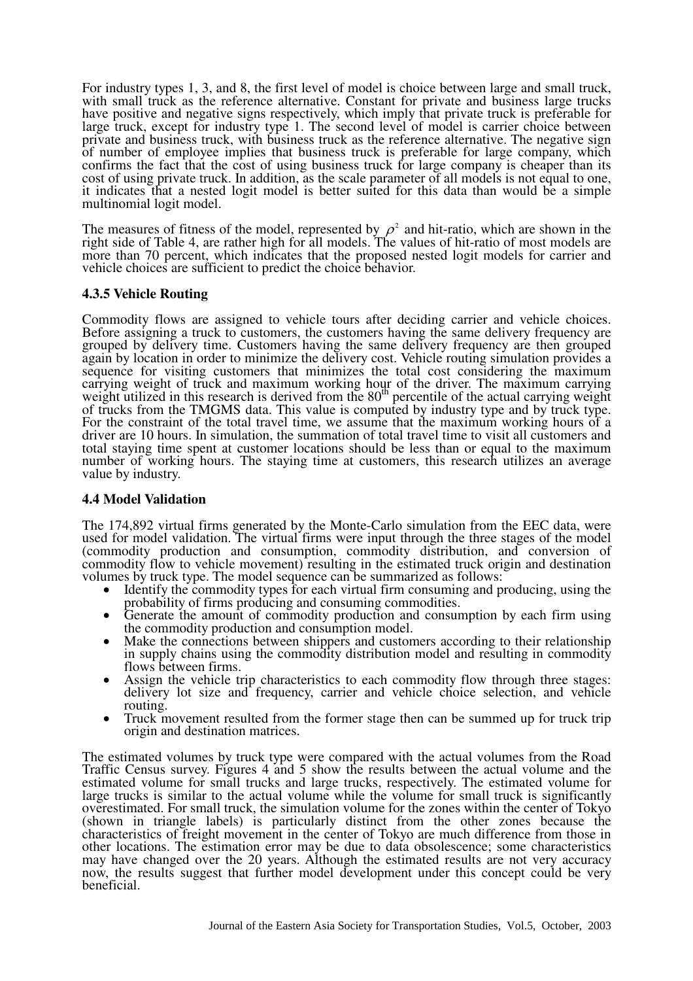For industry types 1, 3, and 8, the first level of model is choice between large and small truck, with small truck as the reference alternative. Constant for private and business large trucks have positive and negative signs respectively, which imply that private truck is preferable for large truck, except for industry type 1. The second level of model is carrier choice between private and business truck, with business truck as the reference alternative. The negative sign of number of employee implies that business truck is preferable for large company, which confirms the fact that the cost of using business truck for large company is cheaper than its cost of using private truck. In addition, as the scale parameter of all models is not equal to one, it indicates that a nested logit model is better suited for this data than would be a simple multinomial logit model.

The measures of fitness of the model, represented by  $\rho^2$  and hit-ratio, which are shown in the right side of Table 4, are rather high for all models. The values of hit-ratio of most models are more than 70 percent, which indicates that the proposed nested logit models for carrier and vehicle choices are sufficient to predict the choice behavior.

# **4.3.5 Vehicle Routing**

Commodity flows are assigned to vehicle tours after deciding carrier and vehicle choices. Before assigning a truck to customers, the customers having the same delivery frequency are grouped by delivery time. Customers having the same delivery frequency are then grouped again by location in order to minimize the delivery cost. Vehicle routing simulation provides a sequence for visiting customers that minimizes the total cost considering the maximum carrying weight of truck and maximum working hour of the driver. The maximum carrying weight utilized in this research is derived from the 80<sup>th</sup> percentile of the actual carrying weight of trucks from the TMGMS data. This value is computed by industry type and by truck type. For the constraint of the total travel time, we assume that the maximum working hours of a driver are 10 hours. In simulation, the summation of total travel time to visit all customers and total staying time spent at customer locations should be less than or equal to the maximum number of working hours. The staying time at customers, this research utilizes an average value by industry.

# **4.4 Model Validation**

The 174,892 virtual firms generated by the Monte-Carlo simulation from the EEC data, were used for model validation. The virtual firms were input through the three stages of the model (commodity production and consumption, commodity distribution, and conversion of commodity flow to vehicle movement) resulting in the estimated truck origin and destination volumes by truck type. The model sequence can be summarized as follows:

- ..<br>• Identify the commodity types for each virtual firm consuming and producing, using the probability of firms producing and consuming commodities.
- $\bullet$  Generate the amount of commodity production and consumption by each firm using the commodity production and consumption model.
- $\bullet$  Make the connections between shippers and customers according to their relationship in supply chains using the commodity distribution model and resulting in commodity flows between firms.
- $\bullet$  Assign the vehicle trip characteristics to each commodity flow through three stages: delivery lot size and frequency, carrier and vehicle choice selection, and vehicle routing.
- $\bullet$  Truck movement resulted from the former stage then can be summed up for truck trip origin and destination matrices.

The estimated volumes by truck type were compared with the actual volumes from the Road Traffic Census survey. Figures 4 and 5 show the results between the actual volume and the estimated volume for small trucks and large trucks, respectively. The estimated volume for large trucks is similar to the actual volume while the volume for small truck is significantly overestimated. For small truck, the simulation volume for the zones within the center of Tokyo (shown in triangle labels) is particularly distinct from the other zones because the characteristics of freight movement in the center of Tokyo are much difference from those in other locations. The estimation error may be due to data obsolescence; some characteristics may have changed over the 20 years. Although the estimated results are not very accuracy now, the results suggest that further model development under this concept could be very beneficial.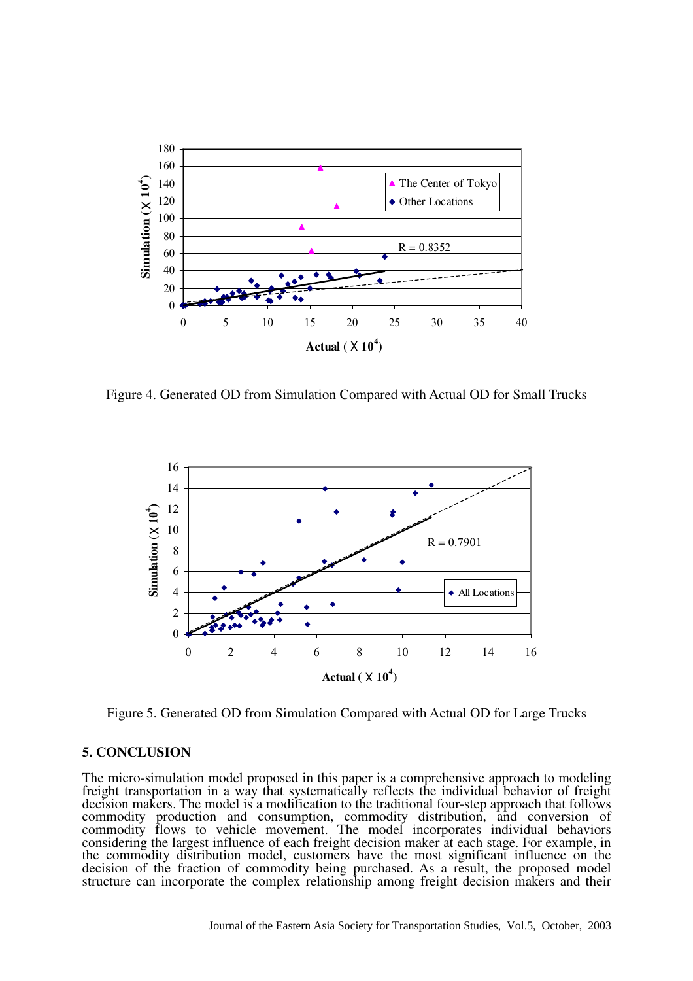

Figure 4. Generated OD from Simulation Compared with Actual OD for Small Trucks



Figure 5. Generated OD from Simulation Compared with Actual OD for Large Trucks

#### **5. CONCLUSION**

The micro-simulation model proposed in this paper is a comprehensive approach to modeling freight transportation in a way that systematically reflects the individual behavior of freight decision makers. The model is a modification to the traditional four-step approach that follows commodity production and consumption, commodity distribution, and conversion of commodity flows to vehicle movement. The model incorporates individual behaviors considering the largest influence of each freight decision maker at each stage. For example, in the commodity distribution model, customers have the most significant influence on the decision of the fraction of commodity being purchased. As a result, the proposed model structure can incorporate the complex relationship among freight decision makers and their